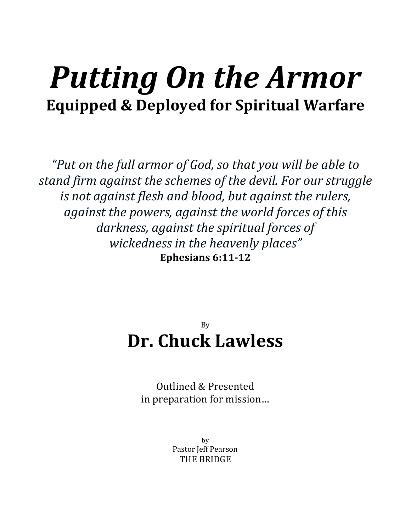# *Putting On the Armor* **Equipped & Deployed for Spiritual Warfare**

*"Put on the full armor of God, so that you will be able to* stand firm against the schemes of the devil. For our struggle *is not against flesh and blood, but against the rulers, against the powers, against the world forces of this* darkness, against the spiritual forces of *wickedness in the heavenly places*" **Ephesians 6:11-12**

# By **Dr. Chuck Lawless**

Outlined & Presented in preparation for mission...

> by Pastor Jeff Pearson THE BRIDGE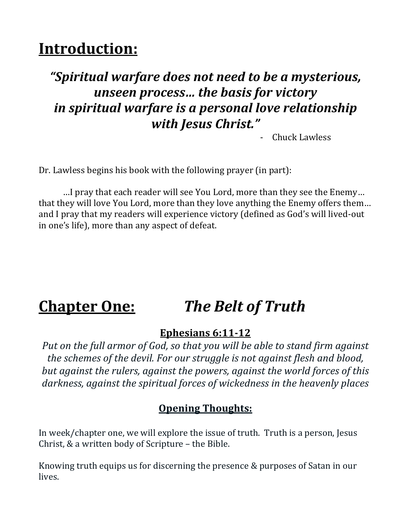# **Introduction:**

# *"Spiritual warfare does not need to be a mysterious, unseen process... the basis for victory in spiritual warfare is a personal love relationship with Jesus Christ."*

Chuck Lawless

Dr. Lawless begins his book with the following prayer (in part):

...I pray that each reader will see You Lord, more than they see the Enemy... that they will love You Lord, more than they love anything the Enemy offers them... and I pray that my readers will experience victory (defined as God's will lived-out in one's life), more than any aspect of defeat.

# **Chapter One:** *The Belt of Truth*

# **Ephesians 6:11-12**

*Put* on the full armor of God, so that you will be able to stand firm against *the schemes of the devil. For our struggle is not against flesh and blood,* but against the rulers, against the powers, against the world forces of this darkness, against the spiritual forces of wickedness in the heavenly places

# **Opening Thoughts:**

In week/chapter one, we will explore the issue of truth. Truth is a person, Jesus Christ,  $&$  a written body of Scripture  $-$  the Bible.

Knowing truth equips us for discerning the presence & purposes of Satan in our lives.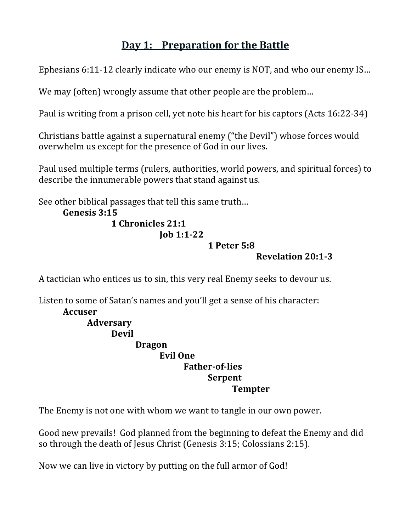## **Day 1: Preparation for the Battle**

Ephesians 6:11-12 clearly indicate who our enemy is NOT, and who our enemy IS...

We may (often) wrongly assume that other people are the problem...

Paul is writing from a prison cell, yet note his heart for his captors (Acts 16:22-34)

Christians battle against a supernatural enemy ("the Devil") whose forces would overwhelm us except for the presence of God in our lives.

Paul used multiple terms (rulers, authorities, world powers, and spiritual forces) to describe the innumerable powers that stand against us.

See other biblical passages that tell this same truth...

#### **Genesis 3:15 1 Chronicles 21:1 Job 1:1-22 1 Peter 5:8**

**Revelation 20:1-3**

A tactician who entices us to sin, this very real Enemy seeks to devour us.

Listen to some of Satan's names and you'll get a sense of his character:

**Accuser Adversary Devil Dragon Evil One Father-of-lies Serpent Tempter**

The Enemy is not one with whom we want to tangle in our own power.

Good new prevails! God planned from the beginning to defeat the Enemy and did so through the death of Jesus Christ (Genesis 3:15; Colossians 2:15).

Now we can live in victory by putting on the full armor of God!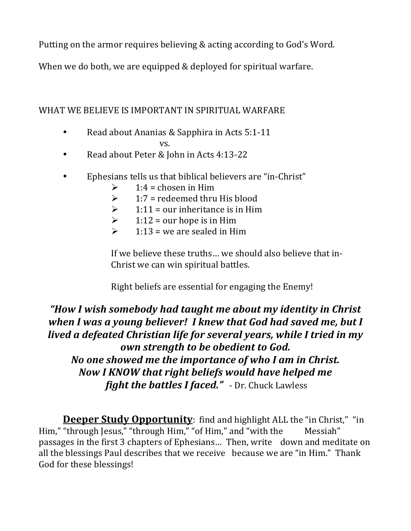Putting on the armor requires believing & acting according to God's Word.

When we do both, we are equipped & deployed for spiritual warfare.

#### WHAT WE BELIEVE IS IMPORTANT IN SPIRITUAL WARFARE

- Read about Ananias & Sapphira in Acts 5:1-11
	- vs.
- Read about Peter & John in Acts 4:13-22
- Ephesians tells us that biblical believers are "in-Christ"
	- $\geq$  1:4 = chosen in Him
	- $\geq 1:7$  = redeemed thru His blood
	- $\geq 1:11 =$  our inheritance is in Him
	- $\geq$  1:12 = our hope is in Him
	- $\geq$  1:13 = we are sealed in Him

If we believe these truths... we should also believe that in-Christ we can win spiritual battles.

Right beliefs are essential for engaging the Enemy!

#### *"How I wish somebody had taught me about my identity in Christ when I was a young believer! I knew that God had saved me, but I lived a defeated Christian life for several years, while I tried in my <u>own</u> strength to be obedient to God. No one showed me the importance of who I am in Christ. Now I KNOW that right beliefs would have helped me fight the battles I faced."* - Dr. Chuck Lawless

**Deeper Study Opportunity**: find and highlight ALL the "in Christ," "in Him," "through Jesus," "through Him," "of Him," and "with the Messiah" passages in the first 3 chapters of Ephesians... Then, write down and meditate on all the blessings Paul describes that we receive because we are "in Him." Thank God for these blessings!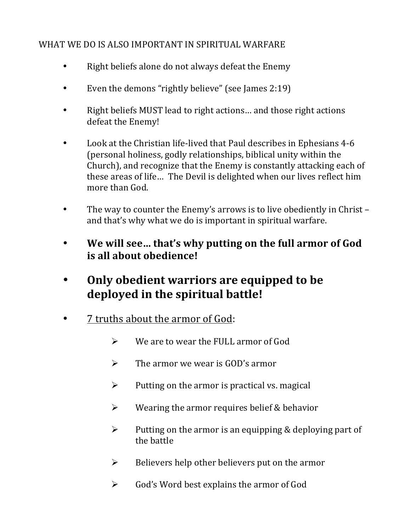#### WHAT WE DO IS ALSO IMPORTANT IN SPIRITUAL WARFARE

- Right beliefs alone do not always defeat the Enemy
- Even the demons "rightly believe" (see James  $2:19$ )
- Right beliefs MUST lead to right actions... and those right actions defeat the Enemy!
- Look at the Christian life-lived that Paul describes in Ephesians 4-6 (personal holiness, godly relationships, biblical unity within the Church), and recognize that the Enemy is constantly attacking each of these areas of life... The Devil is delighted when our lives reflect him more than God.
- The way to counter the Enemy's arrows is to live obediently in Christ and that's why what we do is important in spiritual warfare.
- We will see... that's why putting on the full armor of God **is all about obedience!**
- **Only obedient warriors are equipped to be** deployed in the spiritual battle!
- 7 truths about the armor of God:
	- $\triangleright$  We are to wear the FULL armor of God
	- $\triangleright$  The armor we wear is GOD's armor
	- $\triangleright$  Putting on the armor is practical vs. magical
	- $\triangleright$  Wearing the armor requires belief & behavior
	- $\triangleright$  Putting on the armor is an equipping & deploying part of the battle
	- $\triangleright$  Believers help other believers put on the armor
	- $\triangleright$  God's Word best explains the armor of God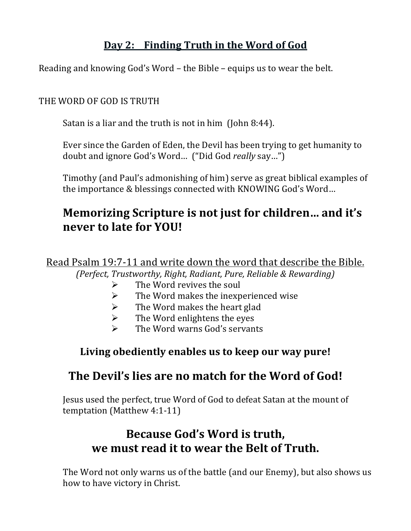# **Day 2:** Finding Truth in the Word of God

Reading and knowing God's Word – the Bible – equips us to wear the belt.

THE WORD OF GOD IS TRUTH

Satan is a liar and the truth is not in him (John 8:44).

Ever since the Garden of Eden, the Devil has been trying to get humanity to doubt and ignore God's Word... ("Did God *really* say...")

Timothy (and Paul's admonishing of him) serve as great biblical examples of the importance & blessings connected with KNOWING God's Word...

# **Memorizing Scripture is not just for children... and it's never to late for YOU!**

Read Psalm 19:7-11 and write down the word that describe the Bible.

*(Perfect, Trustworthy, Right, Radiant, Pure, Reliable & Rewarding)* 

- $\triangleright$  The Word revives the soul
- $\triangleright$  The Word makes the inexperienced wise
- $\triangleright$  The Word makes the heart glad
- $\triangleright$  The Word enlightens the eyes
- $\triangleright$  The Word warns God's servants

## Living obediently enables us to keep our way pure!

# The Devil's lies are no match for the Word of God!

Jesus used the perfect, true Word of God to defeat Satan at the mount of temptation (Matthew 4:1-11)

# **Because God's Word is truth, we must read it to wear the Belt of Truth.**

The Word not only warns us of the battle (and our Enemy), but also shows us how to have victory in Christ.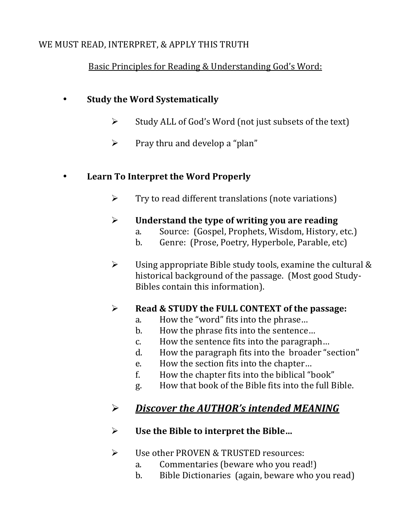#### WE MUST READ, INTERPRET, & APPLY THIS TRUTH

#### Basic Principles for Reading & Understanding God's Word:

#### **Study the Word Systematically**

- $\triangleright$  Study ALL of God's Word (not just subsets of the text)
- $\triangleright$  Pray thru and develop a "plan"

#### **Learn To Interpret the Word Properly**

 $\triangleright$  Try to read different translations (note variations)

#### $\triangleright$  Understand the type of writing you are reading

- a. Source: (Gospel, Prophets, Wisdom, History, etc.)
- b. Genre: (Prose, Poetry, Hyperbole, Parable, etc)
- $\triangleright$  Using appropriate Bible study tools, examine the cultural & historical background of the passage. (Most good Study-Bibles contain this information).

#### **EXECUTE:** Read & STUDY the FULL CONTEXT of the passage:

- a. How the "word" fits into the phrase...
- b. How the phrase fits into the sentence...
- c. How the sentence fits into the paragraph...
- d. How the paragraph fits into the broader "section"
- e. How the section fits into the chapter...
- $f.$  How the chapter fits into the biblical "book"
- g. How that book of the Bible fits into the full Bible.

## *P* Discover the AUTHOR's intended MEANING

#### $\triangleright$  Use the Bible to interpret the Bible...

- > Use other PROVEN & TRUSTED resources:
	- a. Commentaries (beware who you read!)
	- b. Bible Dictionaries (again, beware who you read)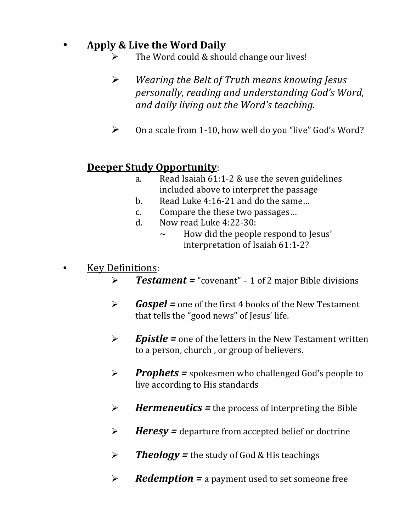## Apply & Live the Word Daily

- $\triangleright$  The Word could & should change our lives!
- **►** *Wearing the Belt of Truth means knowing Jesus* personally, reading and understanding God's Word, *and daily living out the Word's teaching.*
- $\triangleright$  On a scale from 1-10, how well do you "live" God's Word?

#### **Deeper Study Opportunity:**

- a. Read Isaiah  $61:1-2$  & use the seven guidelines included above to interpret the passage
- b. Read Luke 4:16-21 and do the same...
- c. Compare the these two passages...
- d. Now read Luke  $4:22-30$ :
	- How did the people respond to Jesus' interpretation of Isaiah 61:1-2?

#### **Key Definitions:**

- **Exament = "covenant"** 1 of 2 major Bible divisions
- > *Gospel* = one of the first 4 books of the New Testament that tells the "good news" of Jesus' life.
- $\triangleright$  *Epistle* = one of the letters in the New Testament written to a person, church, or group of believers.
- Prophets = spokesmen who challenged God's people to live according to His standards
- > *Hermeneutics* = the process of interpreting the Bible
- > *Heresy* = departure from accepted belief or doctrine
- $\triangleright$  **Theology** = the study of God & His teachings
- $\triangleright$  *Redemption* = a payment used to set someone free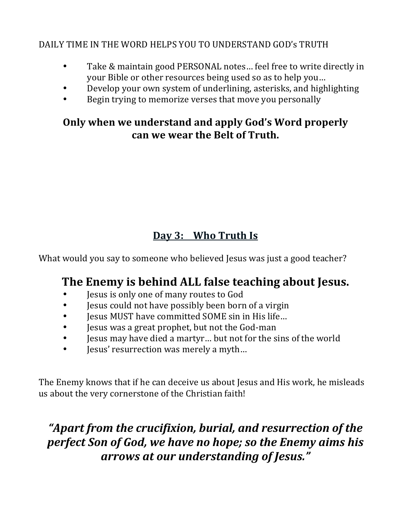#### DAILY TIME IN THE WORD HELPS YOU TO UNDERSTAND GOD's TRUTH

- Take & maintain good PERSONAL notes... feel free to write directly in your Bible or other resources being used so as to help you...
- Develop your own system of underlining, asterisks, and highlighting
- Begin trying to memorize verses that move you personally

#### **Only when we understand and apply God's Word properly can we wear the Belt of Truth.**

# **Day 3:** Who Truth Is

What would you say to someone who believed Jesus was just a good teacher?

# The Enemy is behind ALL false teaching about Jesus.

- Jesus is only one of many routes to God
- Jesus could not have possibly been born of a virgin
- Jesus MUST have committed SOME sin in His life...
- Jesus was a great prophet, but not the God-man
- Jesus may have died a martyr... but not for the sins of the world
- Jesus' resurrection was merely a myth...

The Enemy knows that if he can deceive us about Jesus and His work, he misleads us about the very cornerstone of the Christian faith!

# *"Apart from the crucifixion, burial, and resurrection of the perfect Son of God, we have no hope; so the Enemy aims his arrows at our understanding of Jesus."*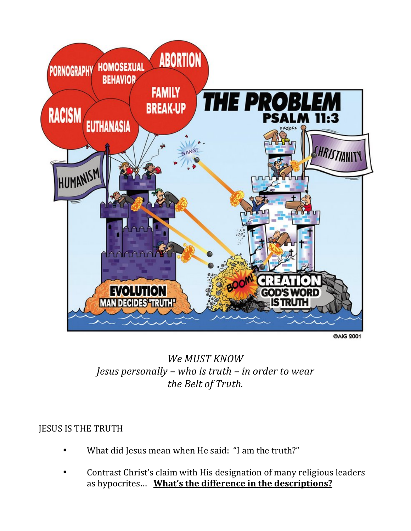

**@AiG 2001** 

#### *We MUST KNOW Jesus personally – who is truth – in order to wear the Belt of Truth.*

#### **JESUS IS THE TRUTH**

- What did Jesus mean when He said: "I am the truth?"
- Contrast Christ's claim with His designation of many religious leaders as hypocrites... What's the difference in the descriptions?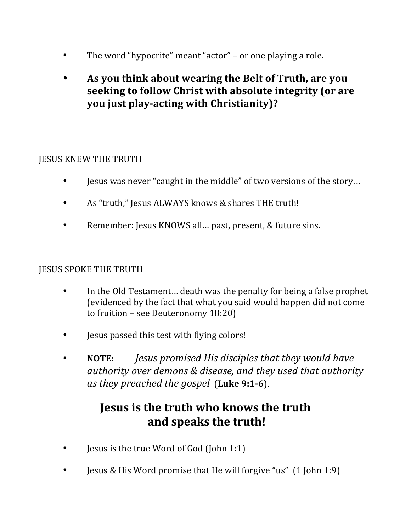- The word "hypocrite" meant "actor"  $-$  or one playing a role.
- As you think about wearing the Belt of Truth, are you seeking to follow Christ with absolute integrity (or are **you** just play-acting with Christianity)?

#### **JESUS KNEW THE TRUTH**

- Jesus was never "caught in the middle" of two versions of the story...
- As "truth," Jesus ALWAYS knows & shares THE truth!
- Remember: Jesus KNOWS all... past, present, & future sins.

#### **JESUS SPOKE THE TRUTH**

- In the Old Testament... death was the penalty for being a false prophet (evidenced by the fact that what you said would happen did not come to fruition – see Deuteronomy  $18:20$ )
- Jesus passed this test with flying colors!
- **NOTE:** *Iesus promised His disciples that they would have* authority over demons & disease, and they used that authority *as they preached the gospel* (**Luke 9:1-6**).

# **Jesus is the truth who knows the truth and speaks the truth!**

- Jesus is the true Word of God (John 1:1)
- Jesus & His Word promise that He will forgive "us"  $(1$  John 1:9)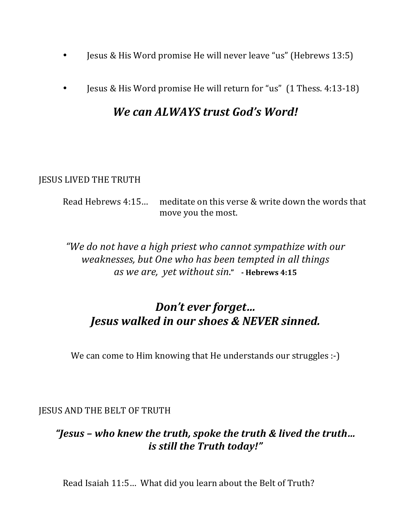- Jesus & His Word promise He will never leave "us" (Hebrews 13:5)
- Jesus & His Word promise He will return for "us" (1 Thess. 4:13-18)

# *We can ALWAYS trust God's Word!*

#### **JESUS LIVED THE TRUTH**

Read Hebrews  $4:15...$  meditate on this verse & write down the words that move you the most.

*"We do not have a high priest who cannot sympathize with our weaknesses, but One who has been tempted in all things as we are, yet without sin***." - Hebrews 4:15**

# *Don't* ever forget... *Jesus* walked in our shoes & NEVER sinned.

We can come to Him knowing that He understands our struggles :-)

**JESUS AND THE BELT OF TRUTH** 

#### "Jesus – who knew the truth, spoke the truth & lived the truth... *is still the Truth today!"*

Read Isaiah 11:5... What did you learn about the Belt of Truth?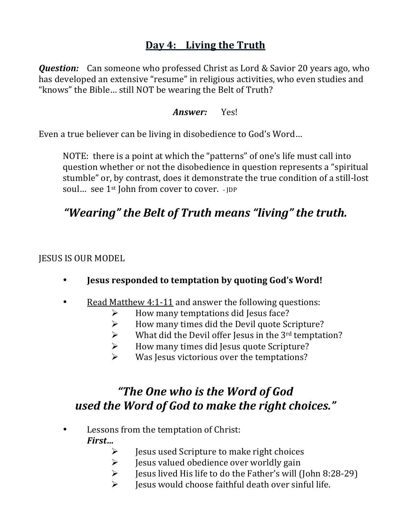#### **Day 4:** Living the Truth

**Question:** Can someone who professed Christ as Lord & Savior 20 years ago, who has developed an extensive "resume" in religious activities, who even studies and "knows" the Bible... still NOT be wearing the Belt of Truth?

#### *Answer:* Yes!

Even a true believer can be living in disobedience to God's Word...

NOTE: there is a point at which the "patterns" of one's life must call into question whether or not the disobedience in question represents a "spiritual stumble" or, by contrast, does it demonstrate the true condition of a still-lost soul... see 1<sup>st</sup> John from cover to cover. - IDP

# *"Wearing" the Belt of Truth means "living" the truth.*

**JESUS IS OUR MODEL** 

- **Jesus responded to temptation by quoting God's Word!**
- Read Matthew 4:1-11 and answer the following questions:
	- $\triangleright$  How many temptations did Jesus face?
	- $\triangleright$  How many times did the Devil quote Scripture?
	- $\triangleright$  What did the Devil offer Jesus in the 3<sup>rd</sup> temptation?
	- $\triangleright$  How many times did Jesus quote Scripture?
	- $\triangleright$  Was Jesus victorious over the temptations?

# *"The One who is the Word of God used the Word of God to make the right choices."*

- Lessons from the temptation of Christ: *First…*
	- $\triangleright$  Jesus used Scripture to make right choices
	- $\triangleright$  Jesus valued obedience over worldly gain
	- $\triangleright$  Jesus lived His life to do the Father's will (John 8:28-29)
	- $\triangleright$  Iesus would choose faithful death over sinful life.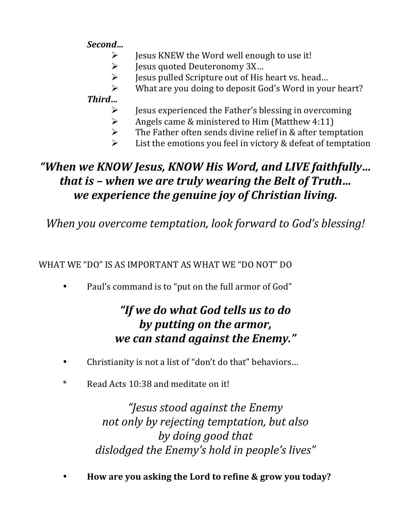*Second…*

- $\triangleright$  [esus KNEW the Word well enough to use it!
- $\triangleright$  Jesus quoted Deuteronomy 3X...
- $\triangleright$  Jesus pulled Scripture out of His heart vs. head...
- $\triangleright$  What are you doing to deposit God's Word in your heart?

#### *Third…*

- $\triangleright$  Jesus experienced the Father's blessing in overcoming
- $\triangleright$  Angels came & ministered to Him (Matthew 4:11)
- $\triangleright$  The Father often sends divine relief in & after temptation
- $\triangleright$  List the emotions you feel in victory & defeat of temptation

# *"When we KNOW Jesus, KNOW His Word, and LIVE faithfully…*  that is – when we are truly wearing the Belt of Truth... *we experience the genuine joy of Christian living.*

*When you overcome temptation, look forward to God's blessing!* 

WHAT WE "DO" IS AS IMPORTANT AS WHAT WE "DO NOT" DO

Paul's command is to "put on the full armor of God"

# *"If we do what God tells us to do*  by putting on the armor, *we can stand against the Enemy."*

- Christianity is not a list of "don't do that" behaviors...
- \* Read Acts 10:38 and meditate on it!

*"Jesus stood against the Enemy*  not only by rejecting temptation, but also *by doing good that* dislodged the Enemy's hold in people's lives"

How are you asking the Lord to refine & grow you today?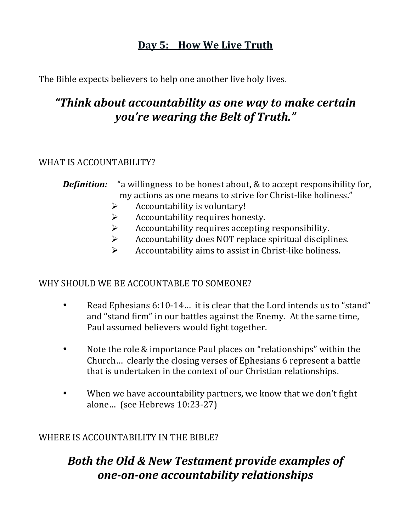# Day 5: How We Live Truth

The Bible expects believers to help one another live holy lives.

# *"Think about accountability as one way to make certain you're* wearing the Belt of Truth."

#### WHAT IS ACCOUNTABILITY?

#### **Definition:** "a willingness to be honest about, & to accept responsibility for, my actions as one means to strive for Christ-like holiness."

- $\triangleright$  Accountability is voluntary!
- $\triangleright$  Accountability requires honesty.
- $\triangleright$  Accountability requires accepting responsibility.
- $\triangleright$  Accountability does NOT replace spiritual disciplines.
- $\triangleright$  Accountability aims to assist in Christ-like holiness.

#### WHY SHOULD WE BE ACCOUNTABLE TO SOMEONE?

- Read Ephesians 6:10-14... it is clear that the Lord intends us to "stand" and "stand firm" in our battles against the Enemy. At the same time, Paul assumed believers would fight together.
- Note the role & importance Paul places on "relationships" within the Church... clearly the closing verses of Ephesians 6 represent a battle that is undertaken in the context of our Christian relationships.
- When we have accountability partners, we know that we don't fight alone... (see Hebrews 10:23-27)

#### WHERE IS ACCOUNTABILITY IN THE BIBLE?

# **Both the Old & New Testament provide examples of** *one-on-one accountability relationships*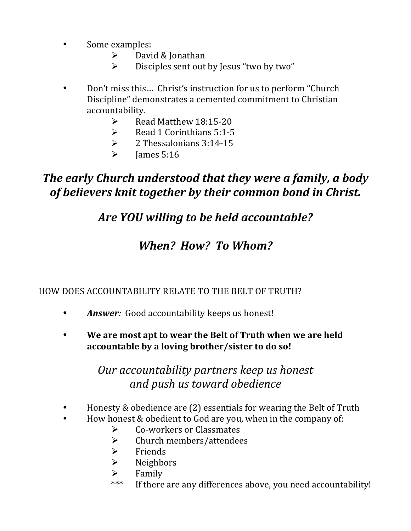- Some examples:
	- $\triangleright$  David & Jonathan
	- $\triangleright$  Disciples sent out by Jesus "two by two"
- Don't miss this... Christ's instruction for us to perform "Church" Discipline" demonstrates a cemented commitment to Christian accountability.
	- $\triangleright$  Read Matthew 18:15-20
	- $\triangleright$  Read 1 Corinthians 5:1-5
	- $\geqslant$  2 Thessalonians 3:14-15
	- $\blacktriangleright$  James 5:16

# The early Church understood that they were a family, a body of believers knit together by their common bond in Christ.

# Are *YOU* willing to be held accountable?

# *When? How? To Whom?*

#### HOW DOES ACCOUNTABILITY RELATE TO THE BELT OF TRUTH?

- *Answer:* Good accountability keeps us honest!
- We are most apt to wear the Belt of Truth when we are held accountable by a loving brother/sister to do so!

# *Our accountability partners keep us honest and push us toward obedience*

- Honesty  $&$  obedience are  $(2)$  essentials for wearing the Belt of Truth
- How honest & obedient to God are you, when in the company of:
	- $\triangleright$  Co-workers or Classmates
	- $\triangleright$  Church members/attendees
	- $\triangleright$  Friends
	- $\triangleright$  Neighbors
	- $\triangleright$  Family
	- \*\*\* If there are any differences above, you need accountability!